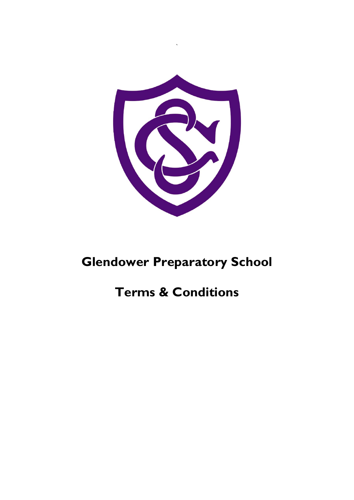

`

# **Glendower Preparatory School**

# **Terms & Conditions**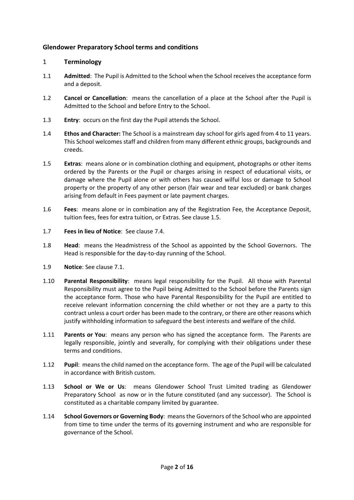## **Glendower Preparatory School terms and conditions**

#### 1 **Terminology**

- 1.1 **Admitted**: The Pupil is Admitted to the School when the School receives the acceptance form and a deposit.
- 1.2 **Cancel or Cancellation**: means the cancellation of a place at the School after the Pupil is Admitted to the School and before Entry to the School.
- 1.3 **Entry**: occurs on the first day the Pupil attends the School.
- 1.4 **Ethos and Character:** The School is a mainstream day school for girls aged from 4 to 11 years. This School welcomes staff and children from many different ethnic groups, backgrounds and creeds.
- <span id="page-1-0"></span>1.5 **Extras**: means alone or in combination clothing and equipment, photographs or other items ordered by the Parents or the Pupil or charges arising in respect of educational visits, or damage where the Pupil alone or with others has caused wilful loss or damage to School property or the property of any other person (fair wear and tear excluded) or bank charges arising from default in Fees payment or late payment charges.
- 1.6 **Fees**: means alone or in combination any of the Registration Fee, the Acceptance Deposit, tuition fees, fees for extra tuition, or Extras. See clause [1.5.](#page-1-0)
- 1.7 **Fees in lieu of Notice**: See clause [7.4.](#page-12-0)
- 1.8 **Head**: means the Headmistress of the School as appointed by the School Governors. The Head is responsible for the day-to-day running of the School.
- 1.9 **Notice**: See clause [7.1.](#page-12-1)
- 1.10 **Parental Responsibility**: means legal responsibility for the Pupil. All those with Parental Responsibility must agree to the Pupil being Admitted to the School before the Parents sign the acceptance form. Those who have Parental Responsibility for the Pupil are entitled to receive relevant information concerning the child whether or not they are a party to this contract unless a court order has been made to the contrary, or there are other reasons which justify withholding information to safeguard the best interests and welfare of the child.
- 1.11 **Parents or You**: means any person who has signed the acceptance form. The Parents are legally responsible, jointly and severally, for complying with their obligations under these terms and conditions.
- 1.12 **Pupil**: means the child named on the acceptance form. The age of the Pupil will be calculated in accordance with British custom.
- 1.13 **School or We or Us**: means Glendower School Trust Limited trading as Glendower Preparatory School as now or in the future constituted (and any successor). The School is constituted as a charitable company limited by guarantee.
- 1.14 **School Governors or Governing Body**: means the Governors of the School who are appointed from time to time under the terms of its governing instrument and who are responsible for governance of the School.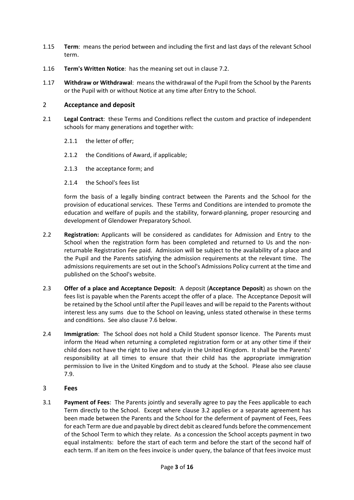- 1.15 **Term**: means the period between and including the first and last days of the relevant School term.
- 1.16 **Term's Written Notice**: has the meaning set out in clause [7.2.](#page-12-2)
- <span id="page-2-0"></span>1.17 **Withdraw or Withdrawal**: means the withdrawal of the Pupil from the School by the Parents or the Pupil with or without Notice at any time after Entry to the School.

#### 2 **Acceptance and deposit**

- 2.1 **Legal Contract**: these Terms and Conditions reflect the custom and practice of independent schools for many generations and together with:
	- 2.1.1 the letter of offer;
	- 2.1.2 the Conditions of Award, if applicable;
	- 2.1.3 the acceptance form; and
	- 2.1.4 the School's fees list

form the basis of a legally binding contract between the Parents and the School for the provision of educational services. These Terms and Conditions are intended to promote the education and welfare of pupils and the stability, forward-planning, proper resourcing and development of Glendower Preparatory School.

- 2.2 **Registration:** Applicants will be considered as candidates for Admission and Entry to the School when the registration form has been completed and returned to Us and the nonreturnable Registration Fee paid. Admission will be subject to the availability of a place and the Pupil and the Parents satisfying the admission requirements at the relevant time. The admissions requirements are set out in the School's Admissions Policy current at the time and published on the School's website.
- 2.3 **Offer of a place and Acceptance Deposit**: A deposit (**Acceptance Deposit**) as shown on the fees list is payable when the Parents accept the offer of a place. The Acceptance Deposit will be retained by the School until after the Pupil leaves and will be repaid to the Parents without interest less any sums due to the School on leaving, unless stated otherwise in these terms and conditions. See also clause [7.6](#page-12-3) below.
- 2.4 **Immigration**: The School does not hold a Child Student sponsor licence. The Parents must inform the Head when returning a completed registration form or at any other time if their child does not have the right to live and study in the United Kingdom. It shall be the Parents' responsibility at all times to ensure that their child has the appropriate immigration permission to live in the United Kingdom and to study at the School. Please also see clause [7.9.](#page-13-0)
- 3 **Fees**
- 3.1 **Payment of Fees**: The Parents jointly and severally agree to pay the Fees applicable to each Term directly to the School. Except where clause [3.2](#page-3-0) applies or a separate agreement has been made between the Parents and the School for the deferment of payment of Fees, Fees for each Term are due and payable by direct debit as cleared funds before the commencement of the School Term to which they relate. As a concession the School accepts payment in two equal instalments: before the start of each term and before the start of the second half of each term. If an item on the fees invoice is under query, the balance of that fees invoice must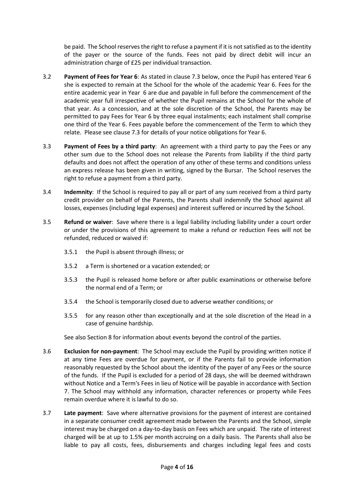be paid. The School reserves the right to refuse a payment if it is not satisfied as to the identity of the payer or the source of the funds. Fees not paid by direct debit will incur an administration charge of £25 per individual transaction.

- <span id="page-3-0"></span>3.2 **Payment of Fees for Year 6**: As stated in claus[e 7.3](#page-12-4) below, once the Pupil has entered Year 6 she is expected to remain at the School for the whole of the academic Year 6. Fees for the entire academic year in Year 6 are due and payable in full before the commencement of the academic year full irrespective of whether the Pupil remains at the School for the whole of that year. As a concession, and at the sole discretion of the School, the Parents may be permitted to pay Fees for Year 6 by three equal instalments; each instalment shall comprise one third of the Year 6. Fees payable before the commencement of the Term to which they relate. Please see claus[e 7.3](#page-12-4) for details of your notice obligations for Year 6.
- 3.3 **Payment of Fees by a third party**: An agreement with a third party to pay the Fees or any other sum due to the School does not release the Parents from liability if the third party defaults and does not affect the operation of any other of these terms and conditions unless an express release has been given in writing, signed by the Bursar. The School reserves the right to refuse a payment from a third party.
- 3.4 **Indemnity**: If the School is required to pay all or part of any sum received from a third party credit provider on behalf of the Parents, the Parents shall indemnify the School against all losses, expenses (including legal expenses) and interest suffered or incurred by the School.
- 3.5 **Refund or waiver**: Save where there is a legal liability including liability under a court order or under the provisions of this agreement to make a refund or reduction Fees will not be refunded, reduced or waived if:
	- 3.5.1 the Pupil is absent through illness; or
	- 3.5.2 a Term is shortened or a vacation extended; or
	- 3.5.3 the Pupil is released home before or after public examinations or otherwise before the normal end of a Term; or
	- 3.5.4 the School is temporarily closed due to adverse weather conditions; or
	- 3.5.5 for any reason other than exceptionally and at the sole discretion of the Head in a case of genuine hardship.

See also Section [8](#page-13-1) for information about events beyond the control of the parties.

- <span id="page-3-2"></span>3.6 **Exclusion for non-payment**: The School may exclude the Pupil by providing written notice if at any time Fees are overdue for payment, or if the Parents fail to provide information reasonably requested by the School about the identity of the payer of any Fees or the source of the funds. If the Pupil is excluded for a period of 28 days, she will be deemed withdrawn without Notice and a Term's Fees in lieu of Notice will be payable in accordance with Section 7. The School may withhold any information, character references or property while Fees remain overdue where it is lawful to do so.
- <span id="page-3-1"></span>3.7 **Late payment**: Save where alternative provisions for the payment of interest are contained in a separate consumer credit agreement made between the Parents and the School, simple interest may be charged on a day-to-day basis on Fees which are unpaid. The rate of interest charged will be at up to 1.5% per month accruing on a daily basis. The Parents shall also be liable to pay all costs, fees, disbursements and charges including legal fees and costs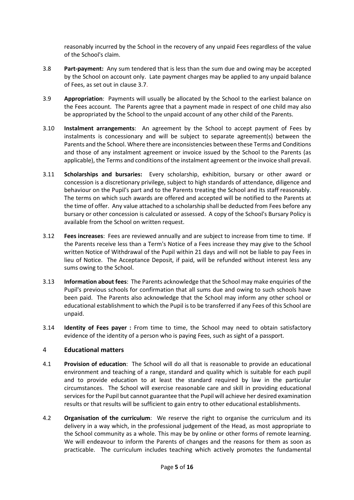reasonably incurred by the School in the recovery of any unpaid Fees regardless of the value of the School's claim.

- 3.8 **Part-payment:** Any sum tendered that is less than the sum due and owing may be accepted by the School on account only. Late payment charges may be applied to any unpaid balance of Fees, as set out in clause [3.7.](#page-3-1)
- 3.9 **Appropriation**: Payments will usually be allocated by the School to the earliest balance on the Fees account. The Parents agree that a payment made in respect of one child may also be appropriated by the School to the unpaid account of any other child of the Parents.
- 3.10 **Instalment arrangements**: An agreement by the School to accept payment of Fees by instalments is concessionary and will be subject to separate agreement(s) between the Parents and the School. Where there are inconsistencies between these Terms and Conditions and those of any instalment agreement or invoice issued by the School to the Parents (as applicable), the Terms and conditions of the instalment agreement or the invoice shall prevail.
- 3.11 **Scholarships and bursaries:** Every scholarship, exhibition, bursary or other award or concession is a discretionary privilege, subject to high standards of attendance, diligence and behaviour on the Pupil's part and to the Parents treating the School and its staff reasonably. The terms on which such awards are offered and accepted will be notified to the Parents at the time of offer. Any value attached to a scholarship shall be deducted from Fees before any bursary or other concession is calculated or assessed. A copy of the School's Bursary Policy is available from the School on written request.
- 3.12 **Fees increases**: Fees are reviewed annually and are subject to increase from time to time. If the Parents receive less than a Term's Notice of a Fees increase they may give to the School written Notice of Withdrawal of the Pupil within 21 days and will not be liable to pay Fees in lieu of Notice. The Acceptance Deposit, if paid, will be refunded without interest less any sums owing to the School.
- 3.13 **Information about fees**: The Parents acknowledge that the School may make enquiries of the Pupil's previous schools for confirmation that all sums due and owing to such schools have been paid. The Parents also acknowledge that the School may inform any other school or educational establishment to which the Pupil is to be transferred if any Fees of this School are unpaid.
- 3.14 **Identity of Fees payer :** From time to time, the School may need to obtain satisfactory evidence of the identity of a person who is paying Fees, such as sight of a passport.

#### 4 **Educational matters**

- 4.1 **Provision of education**: The School will do all that is reasonable to provide an educational environment and teaching of a range, standard and quality which is suitable for each pupil and to provide education to at least the standard required by law in the particular circumstances. The School will exercise reasonable care and skill in providing educational services for the Pupil but cannot guarantee that the Pupil will achieve her desired examination results or that results will be sufficient to gain entry to other educational establishments.
- 4.2 **Organisation of the curriculum**: We reserve the right to organise the curriculum and its delivery in a way which, in the professional judgement of the Head, as most appropriate to the School community as a whole. This may be by online or other forms of remote learning. We will endeavour to inform the Parents of changes and the reasons for them as soon as practicable. The curriculum includes teaching which actively promotes the fundamental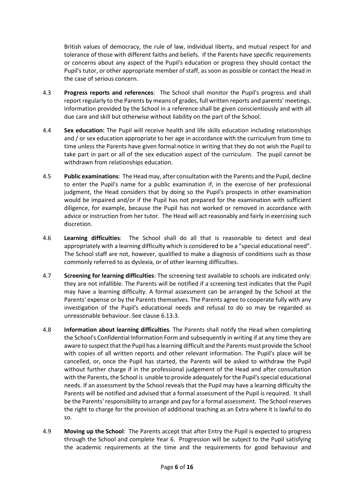British values of democracy, the rule of law, individual liberty, and mutual respect for and tolerance of those with different faiths and beliefs. If the Parents have specific requirements or concerns about any aspect of the Pupil's education or progress they should contact the Pupil's tutor, or other appropriate member of staff, as soon as possible or contact the Head in the case of serious concern.

- 4.3 **Progress reports and references**: The School shall monitor the Pupil's progress and shall report regularly to the Parents by means of grades, full written reports and parents' meetings. Information provided by the School in a reference shall be given conscientiously and with all due care and skill but otherwise without liability on the part of the School.
- 4.4 **Sex education:** The Pupil will receive health and life skills education including relationships and / or sex education appropriate to her age in accordance with the curriculum from time to time unless the Parents have given formal notice in writing that they do not wish the Pupil to take part in part or all of the sex education aspect of the curriculum. The pupil cannot be withdrawn from relationships education.
- 4.5 **Public examinations**: The Head may, after consultation with the Parents and the Pupil, decline to enter the Pupil's name for a public examination if, in the exercise of her professional judgment, the Head considers that by doing so the Pupil's prospects in other examination would be impaired and/or if the Pupil has not prepared for the examination with sufficient diligence, for example, because the Pupil has not worked or removed in accordance with advice or instruction from her tutor. The Head will act reasonably and fairly in exercising such discretion.
- 4.6 **Learning difficulties**: The School shall do all that is reasonable to detect and deal appropriately with a learning difficulty which is considered to be a "special educational need". The School staff are not, however, qualified to make a diagnosis of conditions such as those commonly referred to as dyslexia, or of other learning difficulties.
- 4.7 **Screening for learning difficulties**: The screening test available to schools are indicated only: they are not infallible. The Parents will be notified if a screening test indicates that the Pupil may have a learning difficulty. A formal assessment can be arranged by the School at the Parents' expense or by the Parents themselves. The Parents agree to cooperate fully with any investigation of the Pupil's educational needs and refusal to do so may be regarded as unreasonable behaviour. See clause [6.13.3.](#page-11-0)
- 4.8 **Information about learning difficulties**. The Parents shall notify the Head when completing the School's Confidential Information Form and subsequently in writing if at any time they are aware to suspect that the Pupil has a learning difficult and the Parents must provide the School with copies of all written reports and other relevant information. The Pupil's place will be cancelled, or, once the Pupil has started, the Parents will be asked to withdraw the Pupil without further charge if in the professional judgement of the Head and after consultation with the Parents, the School is unable to provide adequately for the Pupil's special educational needs. If an assessment by the School reveals that the Pupil may have a learning difficulty the Parents will be notified and advised that a formal assessment of the Pupil is required. It shall be the Parents' responsibility to arrange and pay for a formal assessment. The School reserves the right to charge for the provision of additional teaching as an Extra where it is lawful to do so.
- 4.9 **Moving up the School**: The Parents accept that after Entry the Pupil is expected to progress through the School and complete Year 6. Progression will be subject to the Pupil satisfying the academic requirements at the time and the requirements for good behaviour and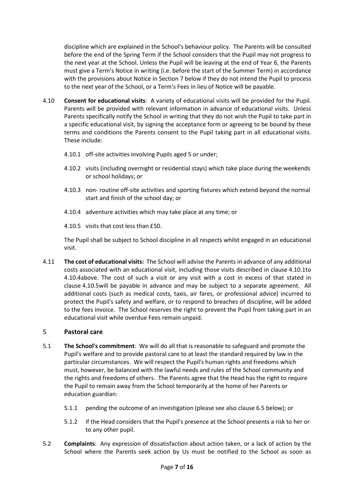discipline which are explained in the School's behaviour policy. The Parents will be consulted before the end of the Spring Term if the School considers that the Pupil may not progress to the next year at the School. Unless the Pupil will be leaving at the end of Year 6, the Parents must give a Term's Notice in writing (i.e. before the start of the Summer Term) in accordance with the provisions about Notice in Section 7 below if they do not intend the Pupil to process to the next year of the School, or a Term's Fees in lieu of Notice will be payable.

- <span id="page-6-0"></span>4.10 **Consent for educational visits**: A variety of educational visits will be provided for the Pupil. Parents will be provided with relevant information in advance of educational visits. Unless Parents specifically notify the School in writing that they do not wish the Pupil to take part in a specific educational visit, by signing the acceptance form or agreeing to be bound by these terms and conditions the Parents consent to the Pupil taking part in all educational visits. These include:
	- 4.10.1 off-site activities involving Pupils aged 5 or under;
	- 4.10.2 visits (including overnight or residential stays) which take place during the weekends or school holidays; or
	- 4.10.3 non- routine off-site activities and sporting fixtures which extend beyond the normal start and finish of the school day; or
	- 4.10.4 adventure activities which may take place at any time; or
	- 4.10.5 visits that cost less than £50.

<span id="page-6-2"></span><span id="page-6-1"></span>The Pupil shall be subject to School discipline in all respects whilst engaged in an educational visit.

4.11 **The cost of educational visits:** The School will advise the Parents in advance of any additional costs associated with an educational visit, including those visits described in clause [4.10.1t](#page-6-0)o [4.10.4a](#page-6-1)bove. The cost of such a visit or any visit with a cost in excess of that stated in clause [4.10.5w](#page-6-2)ill be payable in advance and may be subject to a separate agreement. All additional costs (such as medical costs, taxis, air fares, or professional advice) incurred to protect the Pupil's safety and welfare, or to respond to breaches of discipline, will be added to the fees invoice. The School reserves the right to prevent the Pupil from taking part in an educational visit while overdue Fees remain unpaid.

#### 5 **Pastoral care**

- 5.1 **The School's commitment**: We will do all that is reasonable to safeguard and promote the Pupil's welfare and to provide pastoral care to at least the standard required by law in the particular circumstances. We will respect the Pupil's human rights and freedoms which must, however, be balanced with the lawful needs and rules of the School community and the rights and freedoms of others. The Parents agree that the Head has the right to require the Pupil to remain away from the School temporarily at the home of her Parents or education guardian:
	- 5.1.1 pending the outcome of an investigation (please see also clause [6.5](#page-10-0) below); or
	- 5.1.2 if the Head considers that the Pupil's presence at the School presents a risk to her or to any other pupil.
- <span id="page-6-3"></span>5.2 **Complaints**: Any expression of dissatisfaction about action taken, or a lack of action by the School where the Parents seek action by Us must be notified to the School as soon as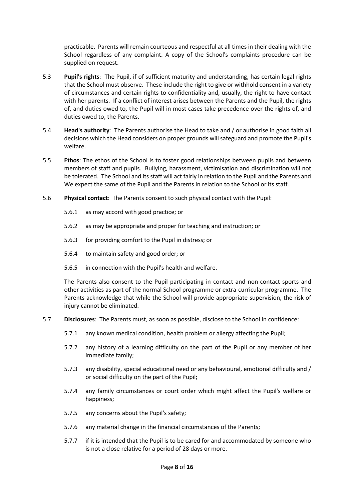practicable. Parents will remain courteous and respectful at all times in their dealing with the School regardless of any complaint. A copy of the School's complaints procedure can be supplied on request.

- 5.3 **Pupil's rights**: The Pupil, if of sufficient maturity and understanding, has certain legal rights that the School must observe. These include the right to give or withhold consent in a variety of circumstances and certain rights to confidentiality and, usually, the right to have contact with her parents. If a conflict of interest arises between the Parents and the Pupil, the rights of, and duties owed to, the Pupil will in most cases take precedence over the rights of, and duties owed to, the Parents.
- 5.4 **Head's authority**: The Parents authorise the Head to take and / or authorise in good faith all decisions which the Head considers on proper grounds will safeguard and promote the Pupil's welfare.
- 5.5 **Ethos**: The ethos of the School is to foster good relationships between pupils and between members of staff and pupils. Bullying, harassment, victimisation and discrimination will not be tolerated. The School and its staff will act fairly in relation to the Pupil and the Parents and We expect the same of the Pupil and the Parents in relation to the School or its staff.
- 5.6 **Physical contact**: The Parents consent to such physical contact with the Pupil:
	- 5.6.1 as may accord with good practice; or
	- 5.6.2 as may be appropriate and proper for teaching and instruction; or
	- 5.6.3 for providing comfort to the Pupil in distress; or
	- 5.6.4 to maintain safety and good order; or
	- 5.6.5 in connection with the Pupil's health and welfare.

The Parents also consent to the Pupil participating in contact and non-contact sports and other activities as part of the normal School programme or extra-curricular programme. The Parents acknowledge that while the School will provide appropriate supervision, the risk of injury cannot be eliminated.

- 5.7 **Disclosures**: The Parents must, as soon as possible, disclose to the School in confidence:
	- 5.7.1 any known medical condition, health problem or allergy affecting the Pupil;
	- 5.7.2 any history of a learning difficulty on the part of the Pupil or any member of her immediate family;
	- 5.7.3 any disability, special educational need or any behavioural, emotional difficulty and / or social difficulty on the part of the Pupil;
	- 5.7.4 any family circumstances or court order which might affect the Pupil's welfare or happiness;
	- 5.7.5 any concerns about the Pupil's safety;
	- 5.7.6 any material change in the financial circumstances of the Parents;
	- 5.7.7 if it is intended that the Pupil is to be cared for and accommodated by someone who is not a close relative for a period of 28 days or more.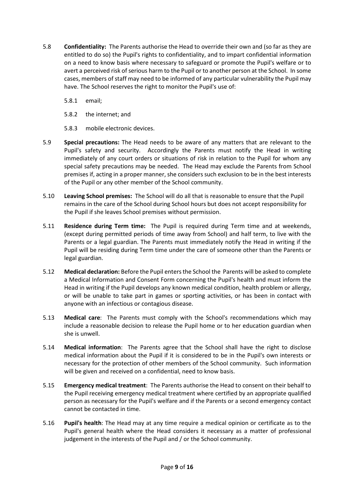- 5.8 **Confidentiality:** The Parents authorise the Head to override their own and (so far as they are entitled to do so) the Pupil's rights to confidentiality, and to impart confidential information on a need to know basis where necessary to safeguard or promote the Pupil's welfare or to avert a perceived risk of serious harm to the Pupil or to another person at the School. In some cases, members of staff may need to be informed of any particular vulnerability the Pupil may have. The School reserves the right to monitor the Pupil's use of:
	- 5.8.1 email;
	- 5.8.2 the internet; and
	- 5.8.3 mobile electronic devices.
- 5.9 **Special precautions:** The Head needs to be aware of any matters that are relevant to the Pupil's safety and security. Accordingly the Parents must notify the Head in writing immediately of any court orders or situations of risk in relation to the Pupil for whom any special safety precautions may be needed. The Head may exclude the Parents from School premises if, acting in a proper manner, she considers such exclusion to be in the best interests of the Pupil or any other member of the School community.
- 5.10 **Leaving School premises:** The School will do all that is reasonable to ensure that the Pupil remains in the care of the School during School hours but does not accept responsibility for the Pupil if she leaves School premises without permission.
- 5.11 **Residence during Term time:** The Pupil is required during Term time and at weekends, (except during permitted periods of time away from School) and half term, to live with the Parents or a legal guardian. The Parents must immediately notify the Head in writing if the Pupil will be residing during Term time under the care of someone other than the Parents or legal guardian.
- 5.12 **Medical declaration:** Before the Pupil enters the School the Parents will be asked to complete a Medical Information and Consent Form concerning the Pupil's health and must inform the Head in writing if the Pupil develops any known medical condition, health problem or allergy, or will be unable to take part in games or sporting activities, or has been in contact with anyone with an infectious or contagious disease.
- 5.13 **Medical care**: The Parents must comply with the School's recommendations which may include a reasonable decision to release the Pupil home or to her education guardian when she is unwell.
- 5.14 **Medical information**: The Parents agree that the School shall have the right to disclose medical information about the Pupil if it is considered to be in the Pupil's own interests or necessary for the protection of other members of the School community. Such information will be given and received on a confidential, need to know basis.
- 5.15 **Emergency medical treatment**: The Parents authorise the Head to consent on their behalf to the Pupil receiving emergency medical treatment where certified by an appropriate qualified person as necessary for the Pupil's welfare and if the Parents or a second emergency contact cannot be contacted in time.
- 5.16 **Pupil's health**: The Head may at any time require a medical opinion or certificate as to the Pupil's general health where the Head considers it necessary as a matter of professional judgement in the interests of the Pupil and / or the School community.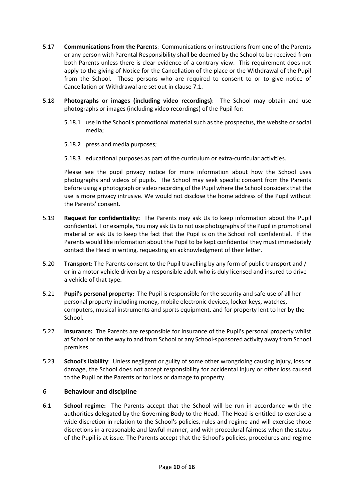- 5.17 **Communications from the Parents**: Communications or instructions from one of the Parents or any person with Parental Responsibility shall be deemed by the School to be received from both Parents unless there is clear evidence of a contrary view. This requirement does not apply to the giving of Notice for the Cancellation of the place or the Withdrawal of the Pupil from the School. Those persons who are required to consent to or to give notice of Cancellation or Withdrawal are set out in clause [7.1.](#page-12-1)
- 5.18 **Photographs or images (including video recordings)**: The School may obtain and use photographs or images (including video recordings) of the Pupil for:
	- 5.18.1 use in the School's promotional material such as the prospectus, the website or social media;
	- 5.18.2 press and media purposes;
	- 5.18.3 educational purposes as part of the curriculum or extra-curricular activities.

Please see the pupil privacy notice for more information about how the School uses photographs and videos of pupils. The School may seek specific consent from the Parents before using a photograph or video recording of the Pupil where the School considers that the use is more privacy intrusive. We would not disclose the home address of the Pupil without the Parents' consent.

- 5.19 **Request for confidentiality:** The Parents may ask Us to keep information about the Pupil confidential. For example, You may ask Us to not use photographs of the Pupil in promotional material or ask Us to keep the fact that the Pupil is on the School roll confidential. If the Parents would like information about the Pupil to be kept confidential they must immediately contact the Head in writing, requesting an acknowledgment of their letter.
- 5.20 **Transport:** The Parents consent to the Pupil travelling by any form of public transport and / or in a motor vehicle driven by a responsible adult who is duly licensed and insured to drive a vehicle of that type.
- 5.21 **Pupil's personal property:** The Pupil is responsible for the security and safe use of all her personal property including money, mobile electronic devices, locker keys, watches, computers, musical instruments and sports equipment, and for property lent to her by the School.
- 5.22 **Insurance:** The Parents are responsible for insurance of the Pupil's personal property whilst at School or on the way to and from School or any School-sponsored activity away from School premises.
- 5.23 **School's liability**: Unless negligent or guilty of some other wrongdoing causing injury, loss or damage, the School does not accept responsibility for accidental injury or other loss caused to the Pupil or the Parents or for loss or damage to property.

#### 6 **Behaviour and discipline**

6.1 **School regime:** The Parents accept that the School will be run in accordance with the authorities delegated by the Governing Body to the Head. The Head is entitled to exercise a wide discretion in relation to the School's policies, rules and regime and will exercise those discretions in a reasonable and lawful manner, and with procedural fairness when the status of the Pupil is at issue. The Parents accept that the School's policies, procedures and regime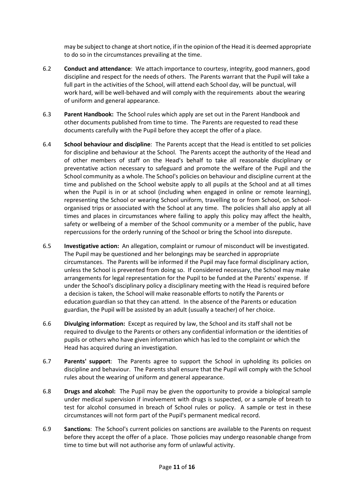may be subject to change at short notice, if in the opinion of the Head it is deemed appropriate to do so in the circumstances prevailing at the time.

- 6.2 **Conduct and attendance**: We attach importance to courtesy, integrity, good manners, good discipline and respect for the needs of others. The Parents warrant that the Pupil will take a full part in the activities of the School, will attend each School day, will be punctual, will work hard, will be well-behaved and will comply with the requirements about the wearing of uniform and general appearance.
- 6.3 **Parent Handbook:** The School rules which apply are set out in the Parent Handbook and other documents published from time to time. The Parents are requested to read these documents carefully with the Pupil before they accept the offer of a place.
- 6.4 **School behaviour and discipline**: The Parents accept that the Head is entitled to set policies for discipline and behaviour at the School. The Parents accept the authority of the Head and of other members of staff on the Head's behalf to take all reasonable disciplinary or preventative action necessary to safeguard and promote the welfare of the Pupil and the School community as a whole. The School's policies on behaviour and discipline current at the time and published on the School website apply to all pupils at the School and at all times when the Pupil is in or at school (including when engaged in online or remote learning), representing the School or wearing School uniform, travelling to or from School, on Schoolorganised trips or associated with the School at any time. The policies shall also apply at all times and places in circumstances where failing to apply this policy may affect the health, safety or wellbeing of a member of the School community or a member of the public, have repercussions for the orderly running of the School or bring the School into disrepute.
- <span id="page-10-0"></span>6.5 **Investigative action:** An allegation, complaint or rumour of misconduct will be investigated. The Pupil may be questioned and her belongings may be searched in appropriate circumstances. The Parents will be informed if the Pupil may face formal disciplinary action, unless the School is prevented from doing so. If considered necessary, the School may make arrangements for legal representation for the Pupil to be funded at the Parents' expense. If under the School's disciplinary policy a disciplinary meeting with the Head is required before a decision is taken, the School will make reasonable efforts to notify the Parents or education guardian so that they can attend. In the absence of the Parents or education guardian, the Pupil will be assisted by an adult (usually a teacher) of her choice.
- 6.6 **Divulging information:** Except as required by law, the School and its staff shall not be required to divulge to the Parents or others any confidential information or the identities of pupils or others who have given information which has led to the complaint or which the Head has acquired during an investigation.
- 6.7 **Parents' support**: The Parents agree to support the School in upholding its policies on discipline and behaviour. The Parents shall ensure that the Pupil will comply with the School rules about the wearing of uniform and general appearance.
- 6.8 **Drugs and alcohol:** The Pupil may be given the opportunity to provide a biological sample under medical supervision if involvement with drugs is suspected, or a sample of breath to test for alcohol consumed in breach of School rules or policy. A sample or test in these circumstances will not form part of the Pupil's permanent medical record.
- 6.9 **Sanctions**: The School's current policies on sanctions are available to the Parents on request before they accept the offer of a place. Those policies may undergo reasonable change from time to time but will not authorise any form of unlawful activity.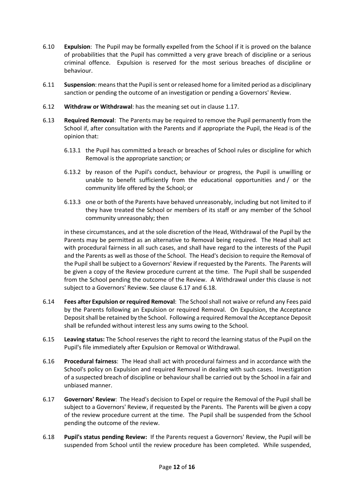- 6.10 **Expulsion**: The Pupil may be formally expelled from the School if it is proved on the balance of probabilities that the Pupil has committed a very grave breach of discipline or a serious criminal offence. Expulsion is reserved for the most serious breaches of discipline or behaviour.
- 6.11 **Suspension**: means that the Pupil is sent or released home for a limited period as a disciplinary sanction or pending the outcome of an investigation or pending a Governors' Review.
- 6.12 **Withdraw or Withdrawal**: has the meaning set out in clause [1.17.](#page-2-0)
- 6.13 **Required Removal**: The Parents may be required to remove the Pupil permanently from the School if, after consultation with the Parents and if appropriate the Pupil, the Head is of the opinion that:
	- 6.13.1 the Pupil has committed a breach or breaches of School rules or discipline for which Removal is the appropriate sanction; or
	- 6.13.2 by reason of the Pupil's conduct, behaviour or progress, the Pupil is unwilling or unable to benefit sufficiently from the educational opportunities and / or the community life offered by the School; or
	- 6.13.3 one or both of the Parents have behaved unreasonably, including but not limited to if they have treated the School or members of its staff or any member of the School community unreasonably; then

<span id="page-11-0"></span>in these circumstances, and at the sole discretion of the Head, Withdrawal of the Pupil by the Parents may be permitted as an alternative to Removal being required. The Head shall act with procedural fairness in all such cases, and shall have regard to the interests of the Pupil and the Parents as well as those of the School. The Head's decision to require the Removal of the Pupil shall be subject to a Governors' Review if requested by the Parents. The Parents will be given a copy of the Review procedure current at the time. The Pupil shall be suspended from the School pending the outcome of the Review. A Withdrawal under this clause is not subject to a Governors' Review. See clause [6.17](#page-11-1) and [6.18.](#page-11-2)

- 6.14 **Fees after Expulsion or required Removal**: The School shall not waive or refund any Fees paid by the Parents following an Expulsion or required Removal. On Expulsion, the Acceptance Deposit shall be retained by the School. Following a required Removal the Acceptance Deposit shall be refunded without interest less any sums owing to the School.
- 6.15 **Leaving status:** The School reserves the right to record the learning status of the Pupil on the Pupil's file immediately after Expulsion or Removal or Withdrawal.
- 6.16 **Procedural fairness**: The Head shall act with procedural fairness and in accordance with the School's policy on Expulsion and required Removal in dealing with such cases. Investigation of a suspected breach of discipline or behaviour shall be carried out by the School in a fair and unbiased manner.
- <span id="page-11-1"></span>6.17 **Governors' Review**: The Head's decision to Expel or require the Removal of the Pupil shall be subject to a Governors' Review, if requested by the Parents. The Parents will be given a copy of the review procedure current at the time. The Pupil shall be suspended from the School pending the outcome of the review.
- <span id="page-11-2"></span>6.18 **Pupil's status pending Review:** If the Parents request a Governors' Review, the Pupil will be suspended from School until the review procedure has been completed. While suspended,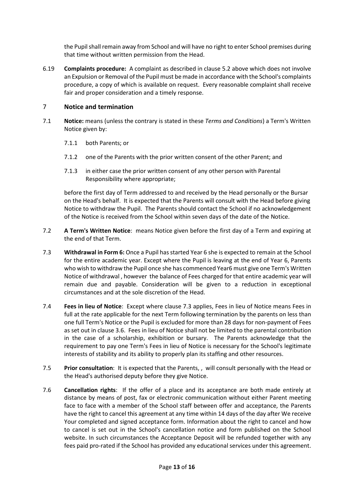the Pupil shall remain away from School and will have no right to enter School premises during that time without written permission from the Head.

6.19 **Complaints procedure:** A complaint as described in clause [5.2](#page-6-3) above which does not involve an Expulsion or Removal of the Pupil must be made in accordance with the School's complaints procedure, a copy of which is available on request. Every reasonable complaint shall receive fair and proper consideration and a timely response.

#### 7 **Notice and termination**

- <span id="page-12-1"></span>7.1 **Notice:** means (unless the contrary is stated in these *Terms and Conditions*) a Term's Written Notice given by:
	- 7.1.1 both Parents; or
	- 7.1.2 one of the Parents with the prior written consent of the other Parent; and
	- 7.1.3 in either case the prior written consent of any other person with Parental Responsibility where appropriate;

<span id="page-12-2"></span>before the first day of Term addressed to and received by the Head personally or the Bursar on the Head's behalf. It is expected that the Parents will consult with the Head before giving Notice to withdraw the Pupil. The Parents should contact the School if no acknowledgement of the Notice is received from the School within seven days of the date of the Notice.

- 7.2 **A Term's Written Notice**: means Notice given before the first day of a Term and expiring at the end of that Term.
- <span id="page-12-4"></span>7.3 **Withdrawal in Form 6:** Once a Pupil has started Year 6 she is expected to remain at the School for the entire academic year. Except where the Pupil is leaving at the end of Year 6, Parents who wish to withdraw the Pupil once she has commenced Year6 must give one Term's Written Notice of withdrawal , however the balance of Fees charged for that entire academic year will remain due and payable. Consideration will be given to a reduction in exceptional circumstances and at the sole discretion of the Head.
- <span id="page-12-0"></span>7.4 **Fees in lieu of Notice**: Except where clause [7.3](#page-12-4) applies, Fees in lieu of Notice means Fees in full at the rate applicable for the next Term following termination by the parents on less than one full Term's Notice or the Pupil is excluded for more than 28 days for non-payment of Fees as set out in claus[e 3.6.](#page-3-2) Fees in lieu of Notice shall not be limited to the parental contribution in the case of a scholarship, exhibition or bursary. The Parents acknowledge that the requirement to pay one Term's Fees in lieu of Notice is necessary for the School's legitimate interests of stability and its ability to properly plan its staffing and other resources.
- 7.5 **Prior consultation**: It is expected that the Parents, , will consult personally with the Head or the Head's authorised deputy before they give Notice.
- <span id="page-12-3"></span>7.6 **Cancellation rights**: If the offer of a place and its acceptance are both made entirely at distance by means of post, fax or electronic communication without either Parent meeting face to face with a member of the School staff between offer and acceptance, the Parents have the right to cancel this agreement at any time within 14 days of the day after We receive Your completed and signed acceptance form. Information about the right to cancel and how to cancel is set out in the School's cancellation notice and form published on the School website. In such circumstances the Acceptance Deposit will be refunded together with any fees paid pro-rated if the School has provided any educational services under this agreement.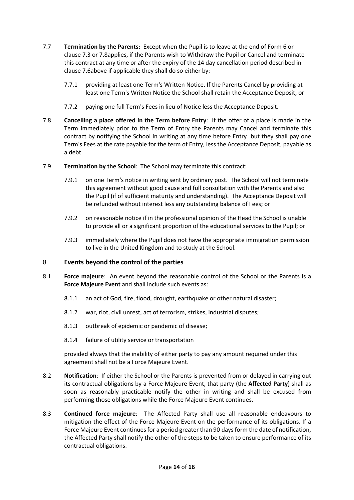- 7.7 **Termination by the Parents:** Except when the Pupil is to leave at the end of Form 6 or claus[e 7.3](#page-12-4) or [7.8a](#page-13-2)pplies, if the Parents wish to Withdraw the Pupil or Cancel and terminate this contract at any time or after the expiry of the 14 day cancellation period described in claus[e 7.6a](#page-12-3)bove if applicable they shall do so either by:
	- 7.7.1 providing at least one Term's Written Notice. If the Parents Cancel by providing at least one Term's Written Notice the School shall retain the Acceptance Deposit; or
	- 7.7.2 paying one full Term's Fees in lieu of Notice less the Acceptance Deposit.
- <span id="page-13-2"></span>7.8 **Cancelling a place offered in the Term before Entry**: If the offer of a place is made in the Term immediately prior to the Term of Entry the Parents may Cancel and terminate this contract by notifying the School in writing at any time before Entry but they shall pay one Term's Fees at the rate payable for the term of Entry, less the Acceptance Deposit, payable as a debt.
- <span id="page-13-0"></span>7.9 **Termination by the School**: The School may terminate this contract:
	- 7.9.1 on one Term's notice in writing sent by ordinary post. The School will not terminate this agreement without good cause and full consultation with the Parents and also the Pupil (if of sufficient maturity and understanding). The Acceptance Deposit will be refunded without interest less any outstanding balance of Fees; or
	- 7.9.2 on reasonable notice if in the professional opinion of the Head the School is unable to provide all or a significant proportion of the educational services to the Pupil; or
	- 7.9.3 immediately where the Pupil does not have the appropriate immigration permission to live in the United Kingdom and to study at the School.

# <span id="page-13-1"></span>8 **Events beyond the control of the parties**

- 8.1 **Force majeure**: An event beyond the reasonable control of the School or the Parents is a **Force Majeure Event** and shall include such events as:
	- 8.1.1 an act of God, fire, flood, drought, earthquake or other natural disaster;
	- 8.1.2 war, riot, civil unrest, act of terrorism, strikes, industrial disputes;
	- 8.1.3 outbreak of epidemic or pandemic of disease;
	- 8.1.4 failure of utility service or transportation

provided always that the inability of either party to pay any amount required under this agreement shall not be a Force Majeure Event.

- <span id="page-13-3"></span>8.2 **Notification**: If either the School or the Parents is prevented from or delayed in carrying out its contractual obligations by a Force Majeure Event, that party (the **Affected Party**) shall as soon as reasonably practicable notify the other in writing and shall be excused from performing those obligations while the Force Majeure Event continues.
- 8.3 **Continued force majeure**: The Affected Party shall use all reasonable endeavours to mitigation the effect of the Force Majeure Event on the performance of its obligations. If a Force Majeure Event continues for a period greater than 90 daysform the date of notification, the Affected Party shall notify the other of the steps to be taken to ensure performance of its contractual obligations.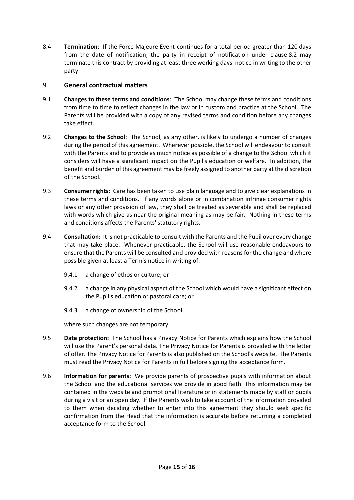8.4 **Termination**: If the Force Majeure Event continues for a total period greater than 120 days from the date of notification, the party in receipt of notification under clause [8.2](#page-13-3) may terminate this contract by providing at least three working days' notice in writing to the other party.

## 9 **General contractual matters**

- 9.1 **Changes to these terms and conditions**: The School may change these terms and conditions from time to time to reflect changes in the law or in custom and practice at the School. The Parents will be provided with a copy of any revised terms and condition before any changes take effect.
- 9.2 **Changes to the School**: The School, as any other, is likely to undergo a number of changes during the period of this agreement. Wherever possible, the School will endeavour to consult with the Parents and to provide as much notice as possible of a change to the School which it considers will have a significant impact on the Pupil's education or welfare. In addition, the benefit and burden of this agreement may be freely assigned to another party at the discretion of the School.
- 9.3 **Consumer rights**: Care has been taken to use plain language and to give clear explanations in these terms and conditions. If any words alone or in combination infringe consumer rights laws or any other provision of law, they shall be treated as severable and shall be replaced with words which give as near the original meaning as may be fair. Nothing in these terms and conditions affects the Parents' statutory rights.
- 9.4 **Consultation:** It is not practicable to consult with the Parents and the Pupil over every change that may take place. Whenever practicable, the School will use reasonable endeavours to ensure that the Parents will be consulted and provided with reasons for the change and where possible given at least a Term's notice in writing of:
	- 9.4.1 a change of ethos or culture; or
	- 9.4.2 a change in any physical aspect of the School which would have a significant effect on the Pupil's education or pastoral care; or
	- 9.4.3 a change of ownership of the School

where such changes are not temporary.

- 9.5 **Data protection:** The School has a Privacy Notice for Parents which explains how the School will use the Parent's personal data. The Privacy Notice for Parents is provided with the letter of offer. The Privacy Notice for Parents is also published on the School's website. The Parents must read the Privacy Notice for Parents in full before signing the acceptance form.
- 9.6 **Information for parents:** We provide parents of prospective pupils with information about the School and the educational services we provide in good faith. This information may be contained in the website and promotional literature or in statements made by staff or pupils during a visit or an open day. If the Parents wish to take account of the information provided to them when deciding whether to enter into this agreement they should seek specific confirmation from the Head that the information is accurate before returning a completed acceptance form to the School.